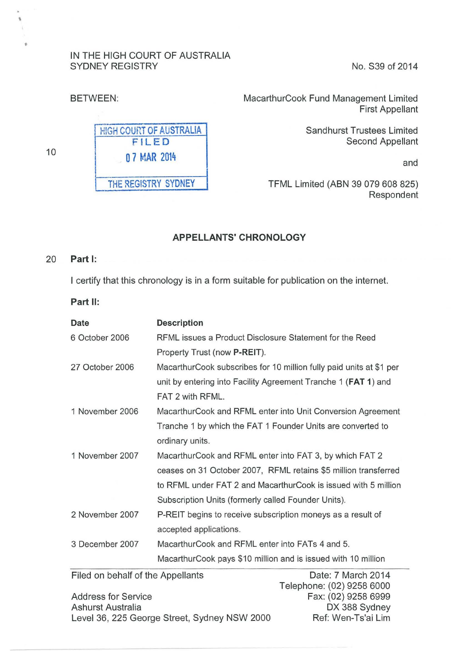### IN THE HIGH COURT OF AUSTRALIA SYDNEY REGISTRY No. S39 of 2014



HIGH COURT OF AUSTRALIA FILED 0 7 MAR 2014 THE REGISTRY SYDNEY

BETWEEN: MacarthurCook Fund Management Limited First Appellant

> Sandhurst Trustees Limited Second Appellant

> > and

TFML Limited (ABN 39 079 608 825) Respondent

## APPELLANTS' CHRONOLOGY

#### 20 Part 1:

10

I certify that this chronology is in a form suitable for publication on the internet.

Part II:

| Date            | <b>Description</b>                                                  |
|-----------------|---------------------------------------------------------------------|
| 6 October 2006  | RFML issues a Product Disclosure Statement for the Reed             |
|                 | Property Trust (now P-REIT).                                        |
| 27 October 2006 | MacarthurCook subscribes for 10 million fully paid units at \$1 per |
|                 | unit by entering into Facility Agreement Tranche 1 (FAT 1) and      |
|                 | FAT 2 with RFML.                                                    |
| 1 November 2006 | MacarthurCook and RFML enter into Unit Conversion Agreement         |
|                 | Tranche 1 by which the FAT 1 Founder Units are converted to         |
|                 | ordinary units.                                                     |
| 1 November 2007 | MacarthurCook and RFML enter into FAT 3, by which FAT 2             |
|                 | ceases on 31 October 2007, RFML retains \$5 million transferred     |
|                 | to RFML under FAT 2 and MacarthurCook is issued with 5 million      |
|                 | Subscription Units (formerly called Founder Units).                 |
| 2 November 2007 | P-REIT begins to receive subscription moneys as a result of         |
|                 | accepted applications.                                              |
| 3 December 2007 | MacarthurCook and RFML enter into FATs 4 and 5.                     |
|                 | MacarthurCook pays \$10 million and is issued with 10 million       |

Filed on behalf of the Appellants Date: 7 March 2014

Address for Service Ashurst Australia Level 36, 225 George Street, Sydney NSW 2000 Telephone: (02) 9258 6000 Fax: (02) 9258 6999 DX 388 Sydney Ref: Wen-Ts'ai Lim

'

•